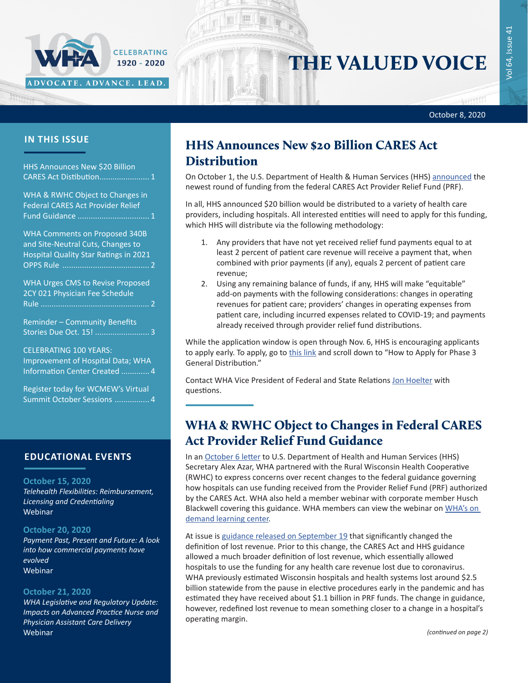#### October 8, 2020

सरस

### **IN THIS ISSUE**

HHS Announces New \$20 Billion CARES Act Distibution....................... 1 WHA & RWHC Object to Changes in Federal CARES Act Provider Relief Fund Guidance ................................. 1 [WHA Comments on Proposed 340B](#page-1-0)  [and Site-Neutral Cuts, Changes to](#page-1-0)  [Hospital Quality Star Ratings in 2021](#page-1-0)  OPPS Rule [........................................](#page-1-0) 2 [WHA Urges CMS to Revise Proposed](#page-1-0)  [2CY 021 Physician Fee Schedule](#page-1-0)  Rule [..................................................](#page-1-0) 2 [Reminder – Community Benefits](#page-2-0)  [Stories Due Oct. 15!](#page-2-0) ......................... 3

ADVOCATE. ADVANCE. LEAD.

CELEBRATING 1920 - 2020

CELEBRATING 100 YEARS: [Improvement of Hospital Data; WHA](#page-3-0)  [Information Center Created](#page-3-0) ............. 4

[Register today for WCMEW's Virtual](#page-4-0)  [Summit October Sessions](#page-4-0) ................ 4

### **EDUCATIONAL EVENTS**

#### **October 15, 2020**

*[Telehealth Flexibilities: Reimbursement,](https://www.whareg4.org/TelehealthFlexibilities2020/)  [Licensing and Credentialing](https://www.whareg4.org/TelehealthFlexibilities2020/)* Webinar

#### **October 20, 2020**

*[Payment Past, Present and Future: A look](https://www.whareg4.org/EvolvedPayments2020/)  [into how commercial payments have](https://www.whareg4.org/EvolvedPayments2020/)  [evolved](https://www.whareg4.org/EvolvedPayments2020/)* Webinar

#### **October 21, 2020**

*[WHA Legislative and Regulatory Update:](https://www.whareg4.org/WHALegRegUpdatesSession1/)  [Impacts on Advanced Practice Nurse and](https://www.whareg4.org/WHALegRegUpdatesSession1/)  [Physician Assistant Care Delivery](https://www.whareg4.org/WHALegRegUpdatesSession1/)* Webinar

### HHS Announces New \$20 Billion CARES Act **Distribution**

On October 1, the U.S. Department of Health & Human Services (HHS) [announced](https://www.hhs.gov/about/news/2020/10/1/trump-administration-announces-20-billion-in-new-phase-3-provider-relief-funding.html) the newest round of funding from the federal CARES Act Provider Relief Fund (PRF).

THE VALUED VOICE

In all, HHS announced \$20 billion would be distributed to a variety of health care providers, including hospitals. All interested entities will need to apply for this funding, which HHS will distribute via the following methodology:

- 1. Any providers that have not yet received relief fund payments equal to at least 2 percent of patient care revenue will receive a payment that, when combined with prior payments (if any), equals 2 percent of patient care revenue;
- 2. Using any remaining balance of funds, if any, HHS will make "equitable" add-on payments with the following considerations: changes in operating revenues for patient care; providers' changes in operating expenses from patient care, including incurred expenses related to COVID-19; and payments already received through provider relief fund distributions.

While the application window is open through Nov. 6, HHS is encouraging applicants to apply early. To apply, go to [this link](https://www.hhs.gov/coronavirus/cares-act-provider-relief-fund/for-providers/index.html) and scroll down to "How to Apply for Phase 3 General Distribution."

Contact WHA Vice President of Federal and State Relations [Jon Hoelter](mailto:jhoelter@wha.org) with questions.

## WHA & RWHC Object to Changes in Federal CARES Act Provider Relief Fund Guidance

In an [October 6 letter](https://www.wha.org/Letter-HHS-ProviderReliefFund10-6-20) to U.S. Department of Health and Human Services (HHS) Secretary Alex Azar, WHA partnered with the Rural Wisconsin Health Cooperative (RWHC) to express concerns over recent changes to the federal guidance governing how hospitals can use funding received from the Provider Relief Fund (PRF) authorized by the CARES Act. WHA also held a member webinar with corporate member Husch Blackwell covering this guidance. WHA members can view the webinar on WHA's on [demand learning center](https://www.wha.org/login?returnurl=%2fEducationandEvents%2fOnDemandEd%2fVideos%2fSecured%2fDuke-Monthly-Webinar-15-Institutional-Resourc-(7)).

At issue is [guidance released on September 19](https://www.hhs.gov/sites/default/files/post-payment-notice-of-reporting-requirements.pdf) that significantly changed the definition of lost revenue. Prior to this change, the CARES Act and HHS guidance allowed a much broader definition of lost revenue, which essentially allowed hospitals to use the funding for any health care revenue lost due to coronavirus. WHA previously estimated Wisconsin hospitals and health systems lost around \$2.5 billion statewide from the pause in elective procedures early in the pandemic and has estimated they have received about \$1.1 billion in PRF funds. The change in guidance, however, redefined lost revenue to mean something closer to a change in a hospital's operating margin.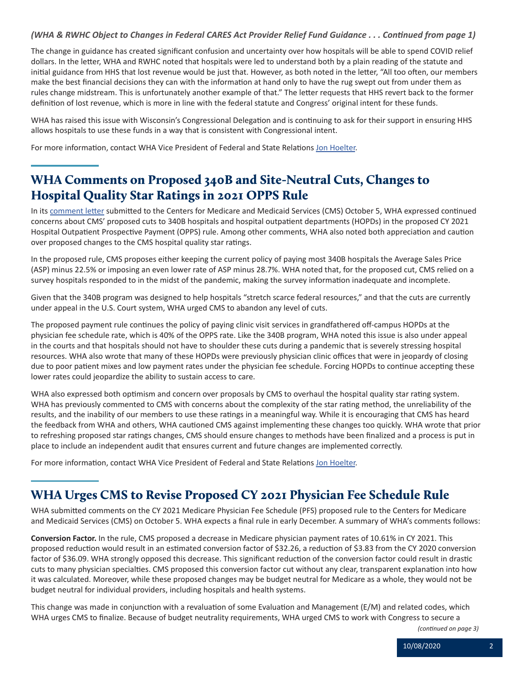### <span id="page-1-0"></span>*(WHA & RWHC Object to Changes in Federal CARES Act Provider Relief Fund Guidance . . . Continued from page 1)*

The change in guidance has created significant confusion and uncertainty over how hospitals will be able to spend COVID relief dollars. In the letter, WHA and RWHC noted that hospitals were led to understand both by a plain reading of the statute and initial guidance from HHS that lost revenue would be just that. However, as both noted in the letter, "All too often, our members make the best financial decisions they can with the information at hand only to have the rug swept out from under them as rules change midstream. This is unfortunately another example of that." The letter requests that HHS revert back to the former definition of lost revenue, which is more in line with the federal statute and Congress' original intent for these funds.

WHA has raised this issue with Wisconsin's Congressional Delegation and is continuing to ask for their support in ensuring HHS allows hospitals to use these funds in a way that is consistent with Congressional intent.

For more information, contact WHA Vice President of Federal and State Relations [Jon Hoelter](mailto:jhoelter@wha.org).

## WHA Comments on Proposed 340B and Site-Neutral Cuts, Changes to Hospital Quality Star Ratings in 2021 OPPS Rule

In its [comment letter](https://www.wha.org/HealthCareTopics/Documents/OPPS2021WHACommentLetter10-5-2020.pdf) submitted to the Centers for Medicare and Medicaid Services (CMS) October 5, WHA expressed continued concerns about CMS' proposed cuts to 340B hospitals and hospital outpatient departments (HOPDs) in the proposed CY 2021 Hospital Outpatient Prospective Payment (OPPS) rule. Among other comments, WHA also noted both appreciation and caution over proposed changes to the CMS hospital quality star ratings.

In the proposed rule, CMS proposes either keeping the current policy of paying most 340B hospitals the Average Sales Price (ASP) minus 22.5% or imposing an even lower rate of ASP minus 28.7%. WHA noted that, for the proposed cut, CMS relied on a survey hospitals responded to in the midst of the pandemic, making the survey information inadequate and incomplete.

Given that the 340B program was designed to help hospitals "stretch scarce federal resources," and that the cuts are currently under appeal in the U.S. Court system, WHA urged CMS to abandon any level of cuts.

The proposed payment rule continues the policy of paying clinic visit services in grandfathered off-campus HOPDs at the physician fee schedule rate, which is 40% of the OPPS rate. Like the 340B program, WHA noted this issue is also under appeal in the courts and that hospitals should not have to shoulder these cuts during a pandemic that is severely stressing hospital resources. WHA also wrote that many of these HOPDs were previously physician clinic offices that were in jeopardy of closing due to poor patient mixes and low payment rates under the physician fee schedule. Forcing HOPDs to continue accepting these lower rates could jeopardize the ability to sustain access to care.

WHA also expressed both optimism and concern over proposals by CMS to overhaul the hospital quality star rating system. WHA has previously commented to CMS with concerns about the complexity of the star rating method, the unreliability of the results, and the inability of our members to use these ratings in a meaningful way. While it is encouraging that CMS has heard the feedback from WHA and others, WHA cautioned CMS against implementing these changes too quickly. WHA wrote that prior to refreshing proposed star ratings changes, CMS should ensure changes to methods have been finalized and a process is put in place to include an independent audit that ensures current and future changes are implemented correctly.

For more information, contact WHA Vice President of Federal and State Relations [Jon Hoelter](mailto:jhoelter@wha.org).

## WHA Urges CMS to Revise Proposed CY 2021 Physician Fee Schedule Rule

WHA submitted comments on the CY 2021 Medicare Physician Fee Schedule (PFS) proposed rule to the Centers for Medicare and Medicaid Services (CMS) on October 5. WHA expects a final rule in early December. A summary of WHA's comments follows:

**Conversion Factor.** In the rule, CMS proposed a decrease in Medicare physician payment rates of 10.61% in CY 2021. This proposed reduction would result in an estimated conversion factor of \$32.26, a reduction of \$3.83 from the CY 2020 conversion factor of \$36.09. WHA strongly opposed this decrease. This significant reduction of the conversion factor could result in drastic cuts to many physician specialties. CMS proposed this conversion factor cut without any clear, transparent explanation into how it was calculated. Moreover, while these proposed changes may be budget neutral for Medicare as a whole, they would not be budget neutral for individual providers, including hospitals and health systems.

This change was made in conjunction with a revaluation of some Evaluation and Management (E/M) and related codes, which WHA urges CMS to finalize. Because of budget neutrality requirements, WHA urged CMS to work with Congress to secure a

*(continued on page 3)*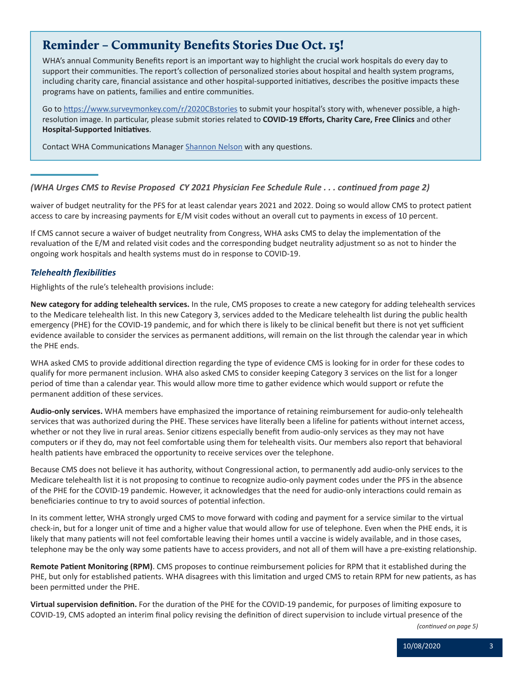## <span id="page-2-0"></span>Reminder – Community Benefits Stories Due Oct. 15!

WHA's annual Community Benefits report is an important way to highlight the crucial work hospitals do every day to support their communities. The report's collection of personalized stories about hospital and health system programs, including charity care, financial assistance and other hospital-supported initiatives, describes the positive impacts these programs have on patients, families and entire communities.

Go to <https://www.surveymonkey.com/r/2020CBstories>to submit your hospital's story with, whenever possible, a highresolution image. In particular, please submit stories related to **COVID-19 Efforts, Charity Care, Free Clinics** and other **Hospital-Supported Initiatives**.

Contact WHA Communications Manager [Shannon Nelson](mailto:snelson@wha.org) with any questions.

#### *(WHA Urges CMS to Revise Proposed CY 2021 Physician Fee Schedule Rule . . . continued from page 2)*

waiver of budget neutrality for the PFS for at least calendar years 2021 and 2022. Doing so would allow CMS to protect patient access to care by increasing payments for E/M visit codes without an overall cut to payments in excess of 10 percent.

If CMS cannot secure a waiver of budget neutrality from Congress, WHA asks CMS to delay the implementation of the revaluation of the E/M and related visit codes and the corresponding budget neutrality adjustment so as not to hinder the ongoing work hospitals and health systems must do in response to COVID-19.

#### *Telehealth flexibilities*

Highlights of the rule's telehealth provisions include:

**New category for adding telehealth services.** In the rule, CMS proposes to create a new category for adding telehealth services to the Medicare telehealth list. In this new Category 3, services added to the Medicare telehealth list during the public health emergency (PHE) for the COVID-19 pandemic, and for which there is likely to be clinical benefit but there is not yet sufficient evidence available to consider the services as permanent additions, will remain on the list through the calendar year in which the PHE ends.

WHA asked CMS to provide additional direction regarding the type of evidence CMS is looking for in order for these codes to qualify for more permanent inclusion. WHA also asked CMS to consider keeping Category 3 services on the list for a longer period of time than a calendar year. This would allow more time to gather evidence which would support or refute the permanent addition of these services.

**Audio-only services.** WHA members have emphasized the importance of retaining reimbursement for audio-only telehealth services that was authorized during the PHE. These services have literally been a lifeline for patients without internet access, whether or not they live in rural areas. Senior citizens especially benefit from audio-only services as they may not have computers or if they do, may not feel comfortable using them for telehealth visits. Our members also report that behavioral health patients have embraced the opportunity to receive services over the telephone.

Because CMS does not believe it has authority, without Congressional action, to permanently add audio-only services to the Medicare telehealth list it is not proposing to continue to recognize audio-only payment codes under the PFS in the absence of the PHE for the COVID-19 pandemic. However, it acknowledges that the need for audio-only interactions could remain as beneficiaries continue to try to avoid sources of potential infection.

In its comment letter, WHA strongly urged CMS to move forward with coding and payment for a service similar to the virtual check-in, but for a longer unit of time and a higher value that would allow for use of telephone. Even when the PHE ends, it is likely that many patients will not feel comfortable leaving their homes until a vaccine is widely available, and in those cases, telephone may be the only way some patients have to access providers, and not all of them will have a pre-existing relationship.

**Remote Patient Monitoring (RPM)**. CMS proposes to continue reimbursement policies for RPM that it established during the PHE, but only for established patients. WHA disagrees with this limitation and urged CMS to retain RPM for new patients, as has been permitted under the PHE.

**Virtual supervision definition.** For the duration of the PHE for the COVID-19 pandemic, for purposes of limiting exposure to COVID-19, CMS adopted an interim final policy revising the definition of direct supervision to include virtual presence of the

*(continued on page 5)*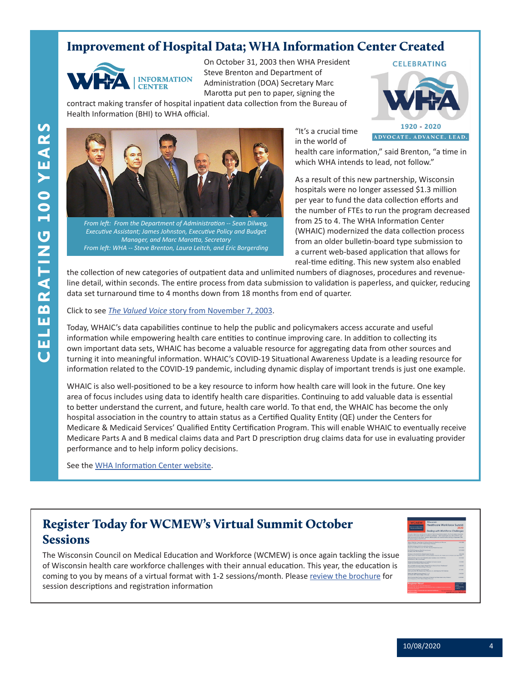## <span id="page-3-0"></span>Improvement of Hospital Data; WHA Information Center Created



On October 31, 2003 then WHA President Steve Brenton and Department of Administration (DOA) Secretary Marc Marotta put pen to paper, signing the

contract making transfer of hospital inpatient data collection from the Bureau of Health Information (BHI) to WHA official.





*From left: From the Department of Administration -- Sean Dilweg, Executive Assistant; James Johnston, Executive Policy and Budget Manager, and Marc Marotta, Secretary From left: WHA -- Steve Brenton, Laura Leitch, and Eric Borgerding*

"It's a crucial time in the world of

health care information," said Brenton, "a time in which WHA intends to lead, not follow."

As a result of this new partnership, Wisconsin hospitals were no longer assessed \$1.3 million per year to fund the data collection efforts and the number of FTEs to run the program decreased from 25 to 4. The WHA Information Center (WHAIC) modernized the data collection process from an older bulletin-board type submission to a current web-based application that allows for real-time editing. This new system also enabled

the collection of new categories of outpatient data and unlimited numbers of diagnoses, procedures and revenueline detail, within seconds. The entire process from data submission to validation is paperless, and quicker, reducing data set turnaround time to 4 months down from 18 months from end of quarter.

Click to see *The Valued Voice* [story from November 7, 2003](https://www.wha.org/ValuedVoice11-7-2003).

Today, WHAIC's data capabilities continue to help the public and policymakers access accurate and useful information while empowering health care entities to continue improving care. In addition to collecting its own important data sets, WHAIC has become a valuable resource for aggregating data from other sources and turning it into meaningful information. WHAIC's COVID-19 Situational Awareness Update is a leading resource for information related to the COVID-19 pandemic, including dynamic display of important trends is just one example.

WHAIC is also well-positioned to be a key resource to inform how health care will look in the future. One key area of focus includes using data to identify health care disparities. Continuing to add valuable data is essential to better understand the current, and future, health care world. To that end, the WHAIC has become the only hospital association in the country to attain status as a Certified Quality Entity (QE) under the Centers for Medicare & Medicaid Services' Qualified Entity Certification Program. This will enable WHAIC to eventually receive Medicare Parts A and B medical claims data and Part D prescription drug claims data for use in evaluating provider performance and to help inform policy decisions.

See the [WHA Information Center website](https://www.whainfocenter.com/).

# Register Today for WCMEW's Virtual Summit October Sessions

The Wisconsin Council on Medical Education and Workforce (WCMEW) is once again tackling the issue of Wisconsin health care workforce challenges with their annual education. This year, the education is coming to you by means of a virtual format with 1-2 sessions/month. Please [review the brochure](https://www.wha.org/WCMEW2020Summit) for session descriptions and registration information